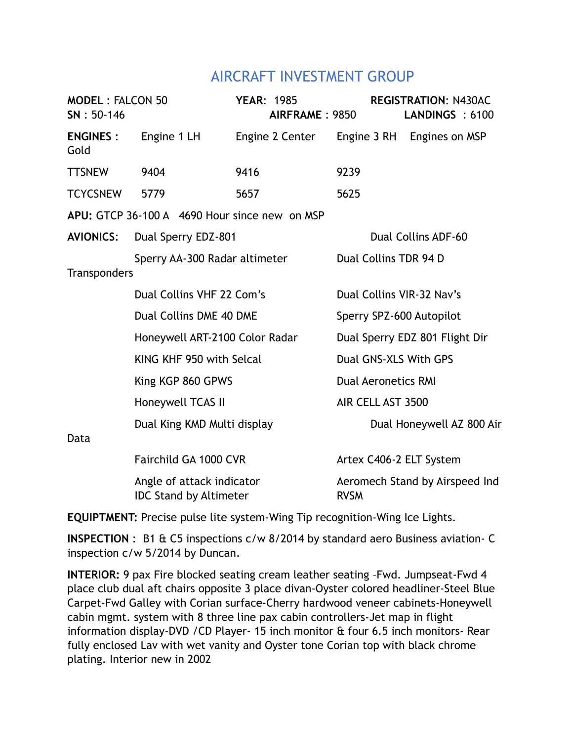## AIRCRAFT INVESTMENT GROUP

| <b>MODEL: FALCON 50</b><br>$SN: 50-146$       |                                                            | <b>YEAR: 1985</b><br>AIRFRAME: 9850 |                                | <b>REGISTRATION: N430AC</b><br>LANDINGS : 6100 |  |
|-----------------------------------------------|------------------------------------------------------------|-------------------------------------|--------------------------------|------------------------------------------------|--|
| <b>ENGINES:</b><br>Gold                       | Engine 1 LH                                                | Engine 2 Center                     |                                | Engine 3 RH Engines on MSP                     |  |
| <b>TTSNEW</b>                                 | 9404                                                       | 9416                                | 9239                           |                                                |  |
| <b>TCYCSNEW</b>                               | 5779                                                       | 5657                                | 5625                           |                                                |  |
| APU: GTCP 36-100 A 4690 Hour since new on MSP |                                                            |                                     |                                |                                                |  |
| <b>AVIONICS:</b>                              | Dual Sperry EDZ-801                                        |                                     | Dual Collins ADF-60            |                                                |  |
| Sperry AA-300 Radar altimeter<br>Transponders |                                                            |                                     | Dual Collins TDR 94 D          |                                                |  |
|                                               | Dual Collins VHF 22 Com's                                  |                                     | Dual Collins VIR-32 Nav's      |                                                |  |
|                                               | Dual Collins DME 40 DME                                    |                                     | Sperry SPZ-600 Autopilot       |                                                |  |
|                                               | Honeywell ART-2100 Color Radar                             |                                     | Dual Sperry EDZ 801 Flight Dir |                                                |  |
|                                               | KING KHF 950 with Selcal                                   |                                     | Dual GNS-XLS With GPS          |                                                |  |
|                                               | King KGP 860 GPWS                                          |                                     |                                | <b>Dual Aeronetics RMI</b>                     |  |
|                                               | Honeywell TCAS II                                          |                                     | AIR CELL AST 3500              |                                                |  |
| Data                                          | Dual King KMD Multi display                                |                                     |                                | Dual Honeywell AZ 800 Air                      |  |
|                                               | Fairchild GA 1000 CVR                                      |                                     | Artex C406-2 ELT System        |                                                |  |
|                                               | Angle of attack indicator<br><b>IDC Stand by Altimeter</b> |                                     | <b>RVSM</b>                    | Aeromech Stand by Airspeed Ind                 |  |

**EQUIPTMENT:** Precise pulse lite system-Wing Tip recognition-Wing Ice Lights.

**INSPECTION** : B1 & C5 inspections c/w 8/2014 by standard aero Business aviation- C inspection c/w 5/2014 by Duncan.

**INTERIOR:** 9 pax Fire blocked seating cream leather seating –Fwd. Jumpseat-Fwd 4 place club dual aft chairs opposite 3 place divan-Oyster colored headliner-Steel Blue Carpet-Fwd Galley with Corian surface-Cherry hardwood veneer cabinets-Honeywell cabin mgmt. system with 8 three line pax cabin controllers-Jet map in flight information display-DVD /CD Player- 15 inch monitor & four 6.5 inch monitors- Rear fully enclosed Lav with wet vanity and Oyster tone Corian top with black chrome plating. Interior new in 2002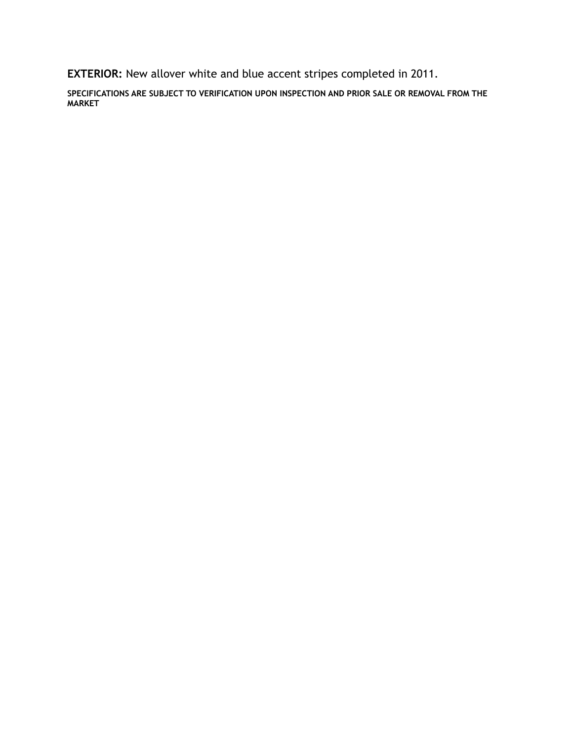**EXTERIOR:** New allover white and blue accent stripes completed in 2011.

**SPECIFICATIONS ARE SUBJECT TO VERIFICATION UPON INSPECTION AND PRIOR SALE OR REMOVAL FROM THE MARKET**